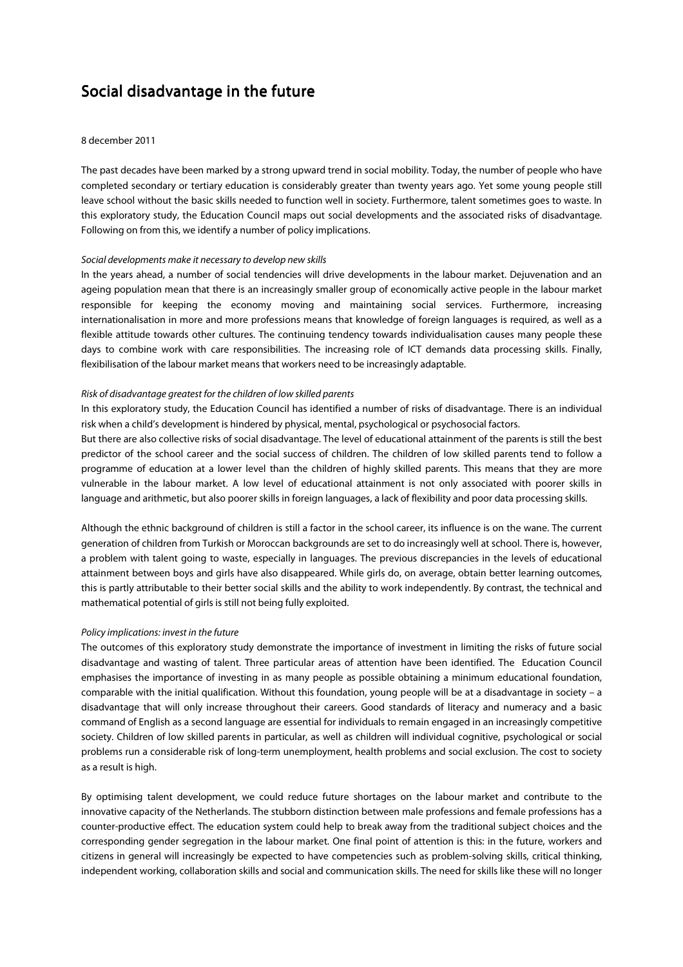# Social disadvantage in the future

#### 8 december 2011

The past decades have been marked by a strong upward trend in social mobility. Today, the number of people who have completed secondary or tertiary education is considerably greater than twenty years ago. Yet some young people still leave school without the basic skills needed to function well in society. Furthermore, talent sometimes goes to waste. In this exploratory study, the Education Council maps out social developments and the associated risks of disadvantage. Following on from this, we identify a number of policy implications.

## Social developments make it necessary to develop new skills

In the years ahead, a number of social tendencies will drive developments in the labour market. Dejuvenation and an ageing population mean that there is an increasingly smaller group of economically active people in the labour market responsible for keeping the economy moving and maintaining social services. Furthermore, increasing internationalisation in more and more professions means that knowledge of foreign languages is required, as well as a flexible attitude towards other cultures. The continuing tendency towards individualisation causes many people these days to combine work with care responsibilities. The increasing role of ICT demands data processing skills. Finally, flexibilisation of the labour market means that workers need to be increasingly adaptable.

## Risk of disadvantage greatest for the children of low skilled parents

In this exploratory study, the Education Council has identified a number of risks of disadvantage. There is an individual risk when a child's development is hindered by physical, mental, psychological or psychosocial factors.

But there are also collective risks of social disadvantage. The level of educational attainment of the parents is still the best predictor of the school career and the social success of children. The children of low skilled parents tend to follow a programme of education at a lower level than the children of highly skilled parents. This means that they are more vulnerable in the labour market. A low level of educational attainment is not only associated with poorer skills in language and arithmetic, but also poorer skills in foreign languages, a lack of flexibility and poor data processing skills.

Although the ethnic background of children is still a factor in the school career, its influence is on the wane. The current generation of children from Turkish or Moroccan backgrounds are set to do increasingly well at school. There is, however, a problem with talent going to waste, especially in languages. The previous discrepancies in the levels of educational attainment between boys and girls have also disappeared. While girls do, on average, obtain better learning outcomes, this is partly attributable to their better social skills and the ability to work independently. By contrast, the technical and mathematical potential of girls is still not being fully exploited.

#### Policy implications: invest in the future

The outcomes of this exploratory study demonstrate the importance of investment in limiting the risks of future social disadvantage and wasting of talent. Three particular areas of attention have been identified. The Education Council emphasises the importance of investing in as many people as possible obtaining a minimum educational foundation, comparable with the initial qualification. Without this foundation, young people will be at a disadvantage in society – a disadvantage that will only increase throughout their careers. Good standards of literacy and numeracy and a basic command of English as a second language are essential for individuals to remain engaged in an increasingly competitive society. Children of low skilled parents in particular, as well as children will individual cognitive, psychological or social problems run a considerable risk of long-term unemployment, health problems and social exclusion. The cost to society as a result is high.

By optimising talent development, we could reduce future shortages on the labour market and contribute to the innovative capacity of the Netherlands. The stubborn distinction between male professions and female professions has a counter-productive effect. The education system could help to break away from the traditional subject choices and the corresponding gender segregation in the labour market. One final point of attention is this: in the future, workers and citizens in general will increasingly be expected to have competencies such as problem-solving skills, critical thinking, independent working, collaboration skills and social and communication skills. The need for skills like these will no longer